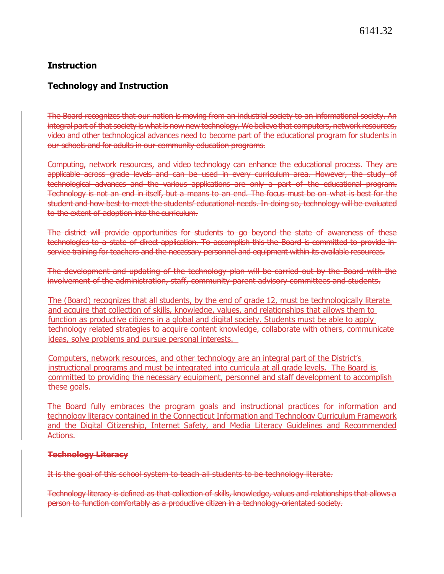# **Instruction**

### **Technology and Instruction**

The Board recognizes that our nation is moving from an industrial society to an informational society. An integral part of that society is what is now new technology. We believe that computers, network resources, video and other technological advances need to become part of the educational program for students in our schools and for adults in our community education programs.

Computing, network resources, and video technology can enhance the educational process. They are applicable across grade levels and can be used in every curriculum area. However, the study of technological advances and the various applications are only a part of the educational program. Technology is not an end in itself, but a means to an end. The focus must be on what is best for the student and how best to meet the students' educational needs. In doing so, technology will be evaluated to the extent of adoption into the curriculum.

The district will provide opportunities for students to go beyond the state of awareness of these technologies to a state of direct application. To accomplish this the Board is committed to provide inservice training for teachers and the necessary personnel and equipment within its available resources.

The development and updating of the technology plan will be carried out by the Board with the involvement of the administration, staff, community-parent advisory committees and students.

The (Board) recognizes that all students, by the end of grade 12, must be technologically literate and acquire that collection of skills, knowledge, values, and relationships that allows them to function as productive citizens in a global and digital society. Students must be able to apply technology related strategies to acquire content knowledge, collaborate with others, communicate ideas, solve problems and pursue personal interests.

Computers, network resources, and other technology are an integral part of the District's instructional programs and must be integrated into curricula at all grade levels. The Board is committed to providing the necessary equipment, personnel and staff development to accomplish these goals.

The Board fully embraces the program goals and instructional practices for information and technology literacy contained in the Connecticut Information and Technology Curriculum Framework and the [Digital Citizenship, Internet Safety, and Media Literacy Guidelines and Recommended](https://portal.ct.gov/-/media/SDE/Academic-Office/Approved_Digital_Citizenship_Internet_Safety_and_Media_Literacy_Guidelines_and_Recommended_Actions.pdf)  [Actions.](https://portal.ct.gov/-/media/SDE/Academic-Office/Approved_Digital_Citizenship_Internet_Safety_and_Media_Literacy_Guidelines_and_Recommended_Actions.pdf)

#### **Technology Literacy**

It is the goal of this school system to teach all students to be technology literate.

Technology literacy is defined as that collection of skills, knowledge, values and relationships that allows a person to function comfortably as a productive citizen in a technology-orientated society.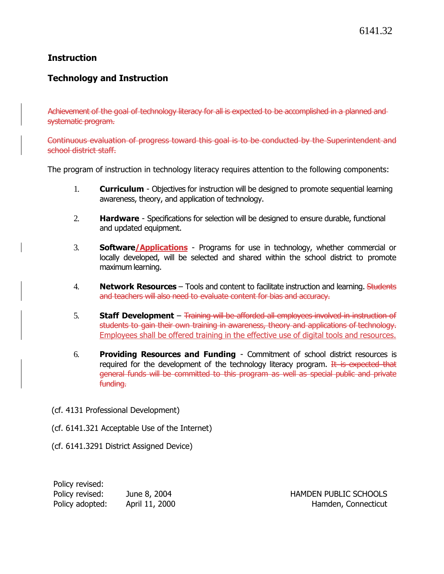## **Instruction**

## **Technology and Instruction**

Achievement of the goal of technology literacy for all is expected to be accomplished in a planned andsystematic program.

Continuous evaluation of progress toward this goal is to be conducted by the Superintendent and school district staff.

The program of instruction in technology literacy requires attention to the following components:

- 1. **Curriculum** Objectives for instruction will be designed to promote sequential learning awareness, theory, and application of technology.
- 2. **Hardware** Specifications for selection will be designed to ensure durable, functional and updated equipment.
- 3. **Software/Applications** Programs for use in technology, whether commercial or locally developed, will be selected and shared within the school district to promote maximum learning.
- 4. **Network Resources** Tools and content to facilitate instruction and learning. Students and teachers will also need to evaluate content for bias and accuracy.
- 5. **Staff Development** Training will be afforded all employees involved in instruction of students to gain their own training in awareness, theory and applications of technology. Employees shall be offered training in the effective use of digital tools and resources.
- 6. **Providing Resources and Funding** Commitment of school district resources is required for the development of the technology literacy program.  $H$  is expected that general funds will be committed to this program as well as special public and private funding.
- (cf. 4131 Professional Development)
- (cf. 6141.321 Acceptable Use of the Internet)
- (cf. 6141.3291 District Assigned Device)

| Policy revised: |                |
|-----------------|----------------|
| Policy revised: | June 8, 2004   |
| Policy adopted: | April 11, 2000 |

HAMDEN PUBLIC SCHOOLS Hamden, Connecticut